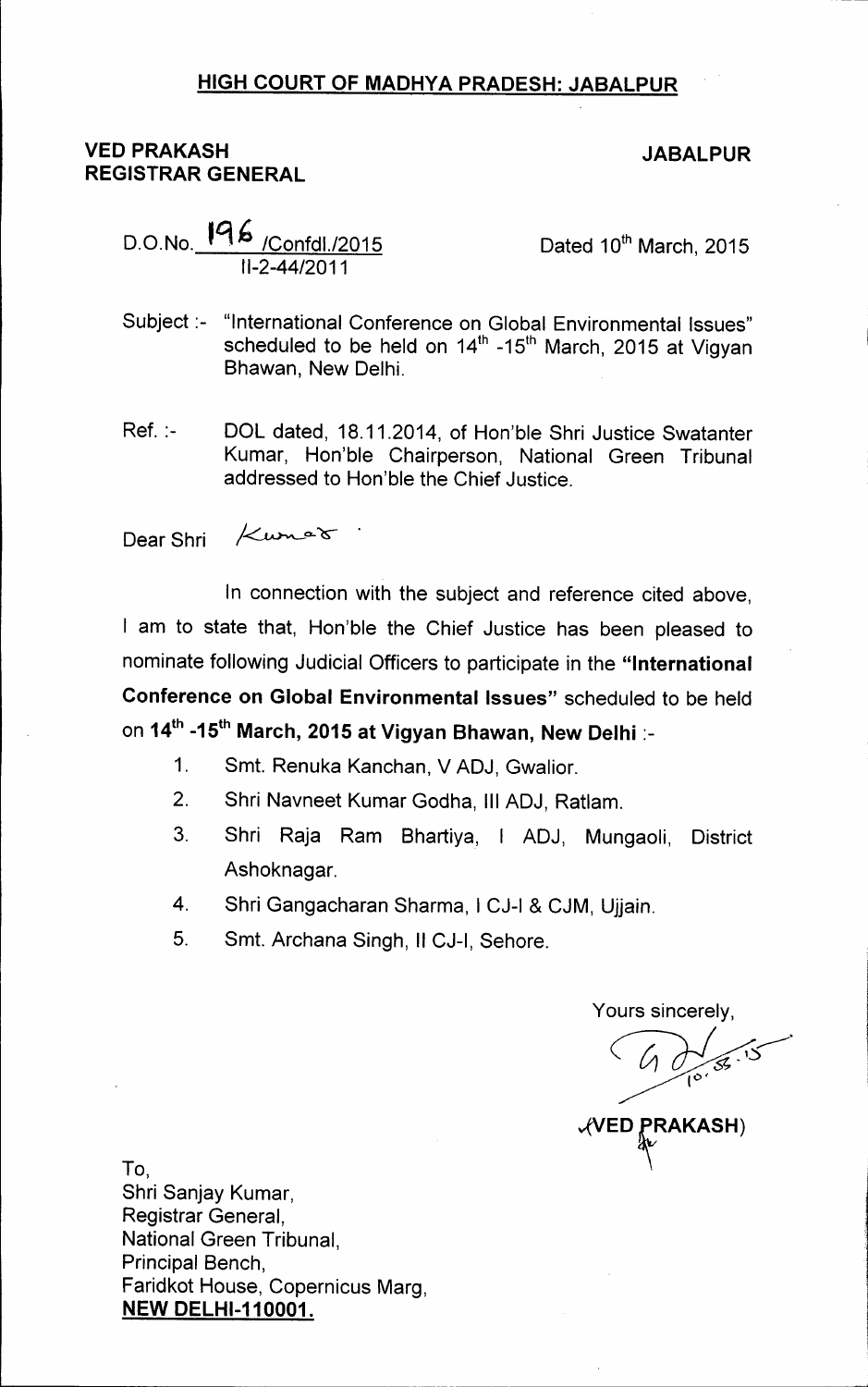## HIGH COURT OF MADHYA PRADESH: JABALPUR

## VED PRAKASH REGISTRAR GENERAL

## JABALPUR

|                    | D.O.No. 196 /Confdl./2015 |
|--------------------|---------------------------|
| $II - 2 - 44/2011$ |                           |

Dated 10<sup>th</sup> March, 2015

- Subject:- "International Conference on Global Environmental Issues" scheduled to be held on 14<sup>th</sup> -15<sup>th</sup> March, 2015 at Vigyar Bhawan, New Delhi.
- Ref. :- DOL dated, 18.11.2014, of Hon'ble Shri Justice Swatanter Kumar, Hon'ble Chairperson, National Green Tribunal addressed to Hon'ble the Chief Justice.

*1/..* o...~ . Dear Shri

In connection with the subject and reference cited above, am to state that, Hon'ble the Chief Justice has been pleased to nominate following Judicial Officers to participate in the "International Conference on Global Environmental Issues" scheduled to be held on 14<sup>th</sup> -15<sup>th</sup> March, 2015 at Vigyan Bhawan, New Delhi :-

- 1. Smt. Renuka Kanchan, V ADJ, Gwalior.
- 2. Shri Navneet Kumar Godha, III ADJ, Ratlam.
- 3. Shri Raja Ram Bhartiya, I ADJ, Mungaoli, District Ashoknagar.
- 4. Shri Gangacharan Sharma, I CJ-I & CJM, Ujjain.
- 5. Smt. Archana Singh, II CJ-I, Sehore.

Yours sincerely,

**VED PRAKASH**)

To, Shri Sanjay Kumar, Registrar General, National Green Tribunal, Principal Bench, Faridkot House, Copernicus Marg, **NEW DELHI-110001.**